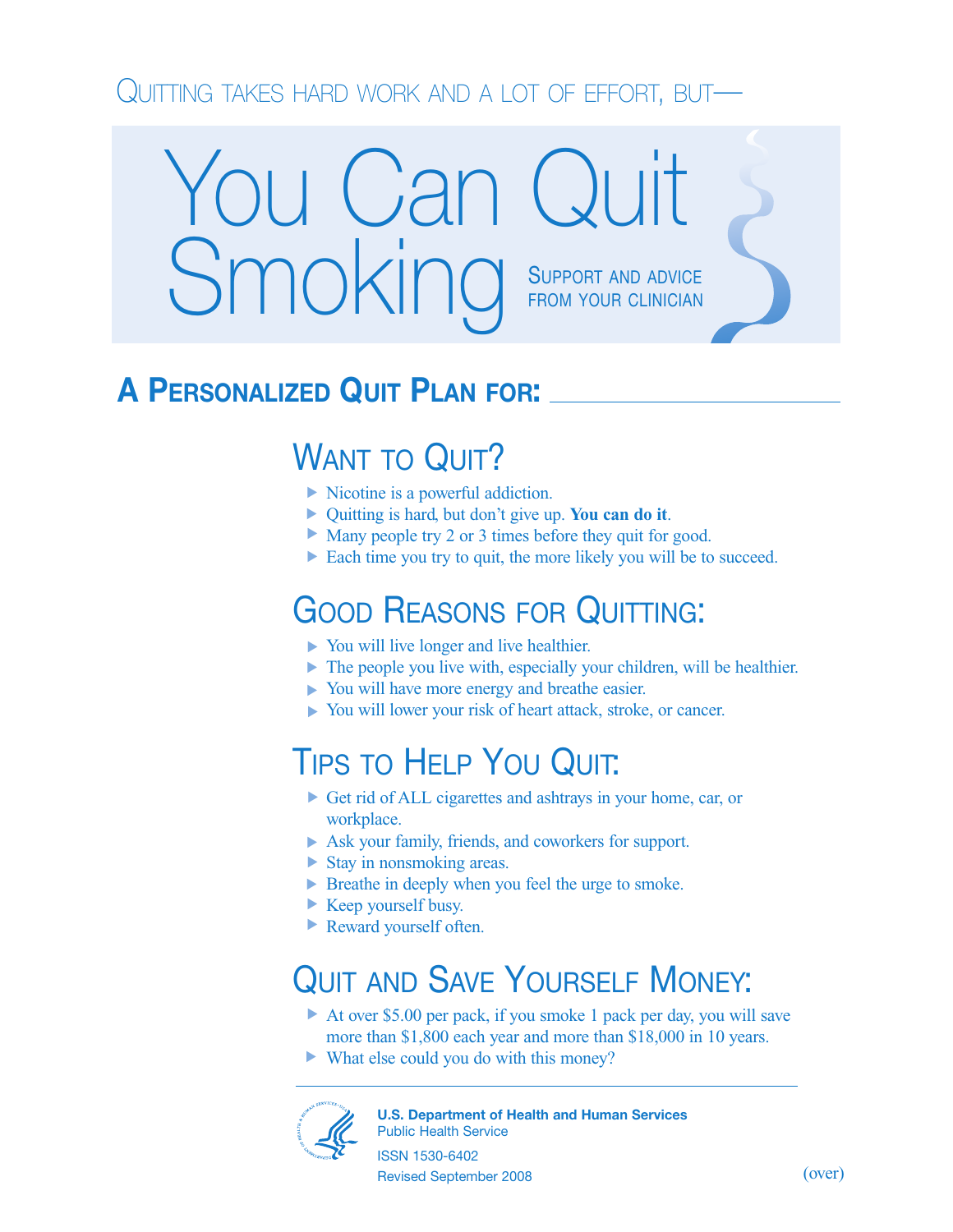### QUITTING TAKES HARD WORK AND A LOT OF EFFORT, BUT—

# **SUPPORT AND ADVICE** FROM YOUR CLINICIAN You Can Quit Smoking

### **A PERSONALIZED QUIT PLAN FOR:**

## WANT TO QUIT?

- Nicotine is a powerful addiction. **▲**
- Quitting is hard, but don't give up. **You can do it**. **▲**
- Many people try 2 or 3 times before they quit for good.
- Each time you try to quit, the more likely you will be to succeed.

### GOOD REASONS FOR QUITTING:

- ▶ You will live longer and live healthier.
- The people you live with, especially your children, will be healthier. **▲**
- You will have more energy and breathe easier. **▲**
- You will lower your risk of heart attack, stroke, or cancer. **▲**

### TIPS TO HELP YOU QUIT:

- ▶ Get rid of ALL cigarettes and ashtrays in your home, car, or workplace.
- Ask your family, friends, and coworkers for support. **▲**
- ▶ Stay in nonsmoking areas.
- ▶ Breathe in deeply when you feel the urge to smoke.
- Keep yourself busy. **▲**
- Reward yourself often. **▲**

### QUIT AND SAVE YOURSELF MONEY:

- ▶ At over \$5.00 per pack, if you smoke 1 pack per day, you will save more than \$1,800 each year and more than \$18,000 in 10 years.
- ▶ What else could you do with this money?



**U.S. Department of Health and Human Services** Public Health Service

ISSN 1530-6402 Revised September 2008